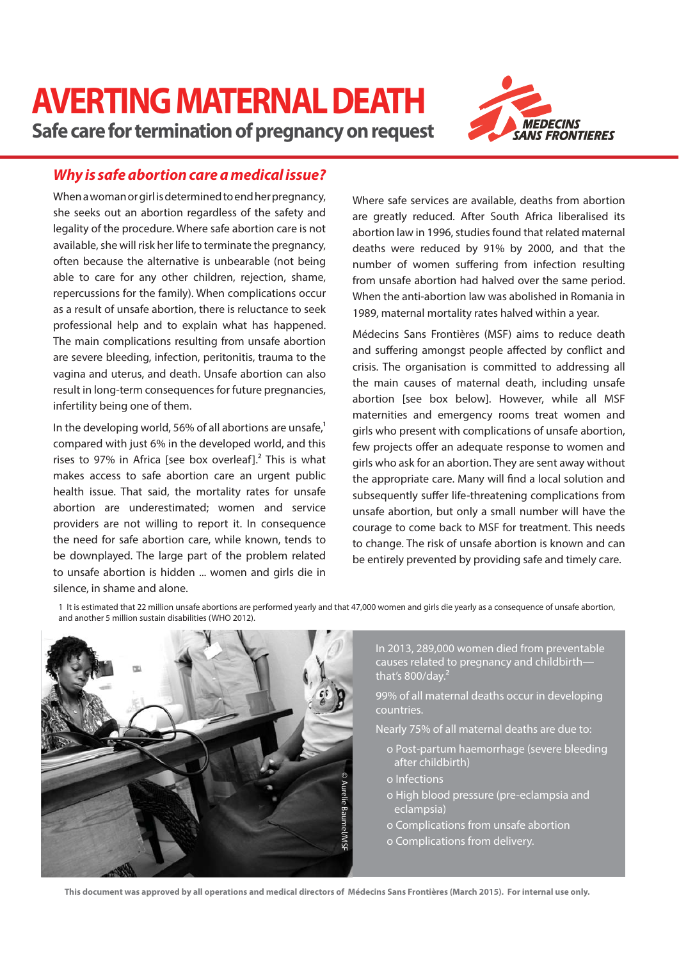# **AVERTING MATERNAL DEATH Safe care for termination of pregnancy on request**



# **Why is safe abortion care a medical issue?**

When a woman or girl is determined to end her pregnancy, she seeks out an abortion regardless of the safety and legality of the procedure. Where safe abortion care is not available, she will risk her life to terminate the pregnancy, often because the alternative is unbearable (not being able to care for any other children, rejection, shame, repercussions for the family). When complications occur as a result of unsafe abortion, there is reluctance to seek professional help and to explain what has happened. The main complications resulting from unsafe abortion are severe bleeding, infection, peritonitis, trauma to the vagina and uterus, and death. Unsafe abortion can also result in long-term consequences for future pregnancies, infertility being one of them.

In the developing world, 56% of all abortions are unsafe, $1$ compared with just 6% in the developed world, and this rises to 97% in Africa [see box overleaf]. $2$  This is what makes access to safe abortion care an urgent public health issue. That said, the mortality rates for unsafe abortion are underestimated; women and service providers are not willing to report it. In consequence the need for safe abortion care, while known, tends to be downplayed. The large part of the problem related to unsafe abortion is hidden ... women and girls die in silence, in shame and alone.

Where safe services are available, deaths from abortion are greatly reduced. After South Africa liberalised its abortion law in 1996, studies found that related maternal deaths were reduced by 91% by 2000, and that the number of women suffering from infection resulting from unsafe abortion had halved over the same period. When the anti-abortion law was abolished in Romania in 1989, maternal mortality rates halved within a year.

Médecins Sans Frontières (MSF) aims to reduce death and suffering amongst people affected by conflict and crisis. The organisation is committed to addressing all the main causes of maternal death, including unsafe abortion [see box below]. However, while all MSF maternities and emergency rooms treat women and girls who present with complications of unsafe abortion, few projects offer an adequate response to women and girls who ask for an abortion. They are sent away without the appropriate care. Many will find a local solution and subsequently suffer life-threatening complications from unsafe abortion, but only a small number will have the courage to come back to MSF for treatment. This needs to change. The risk of unsafe abortion is known and can be entirely prevented by providing safe and timely care.

1 It is estimated that 22 million unsafe abortions are performed yearly and that 47,000 women and girls die yearly as a consequence of unsafe abortion, and another 5 million sustain disabilities (WHO 2012).



In 2013, 289,000 women died from preventable causes related to pregnancy and childbirth that's  $800$ /day.<sup>2</sup>

99% of all maternal deaths occur in developing countries.

Nearly 75% of all maternal deaths are due to:

- o Post-partum haemorrhage (severe bleeding after childbirth)
- o Infections
- o High blood pressure (pre-eclampsia and eclampsia)
- o Complications from unsafe abortion
- o Complications from delivery.

**This document was approved by all operations and medical directors of Médecins Sans Frontières (March 2015). For internal use only.**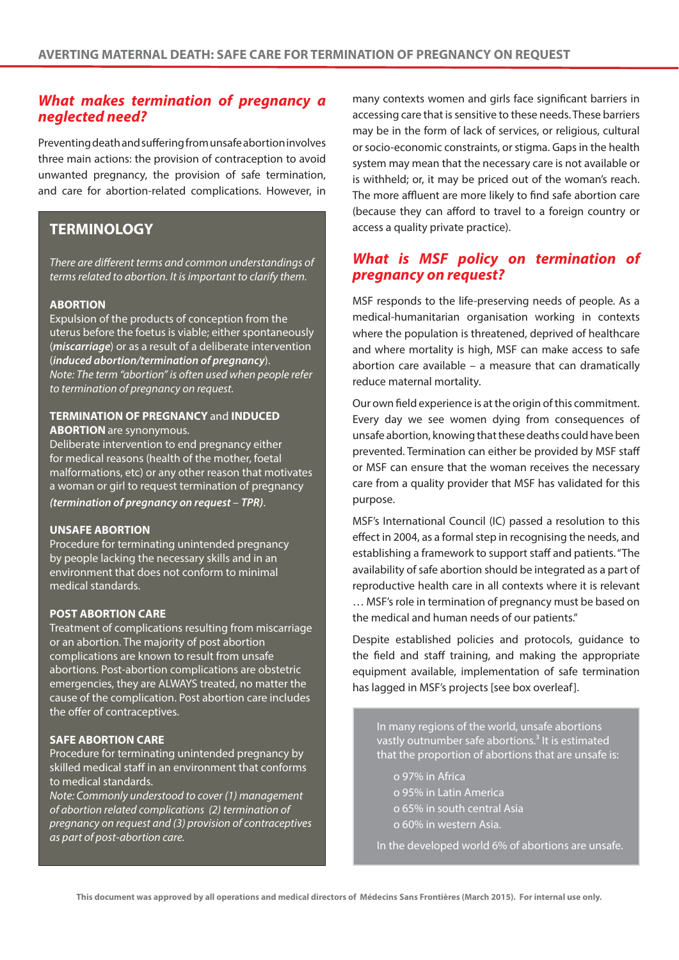# **What makes termination of pregnancy a neglected need?**

Preventing death and suffering from unsafe abortion involves three main actions: the provision of contraception to avoid unwanted pregnancy, the provision of safe termination, and care for abortion-related complications. However, in

# **TERMINOLOGY**

There are different terms and common understandings of terms related to abortion. It is important to clarify them.

### **ABORTION**

Expulsion of the products of conception from the uterus before the foetus is viable; either spontaneously (**miscarriage**) or as a result of a deliberate intervention (**induced abortion/termination of pregnancy**). Note: The term "abortion" is often used when people refer to termination of pregnancy on request.

### **TERMINATION OF PREGNANCY** and **INDUCED ABORTION** are synonymous.

Deliberate intervention to end pregnancy either for medical reasons (health of the mother, foetal malformations, etc) or any other reason that motivates a woman or girl to request termination of pregnancy **(termination of pregnancy on request** – **TPR)**.

## **UNSAFE ABORTION**

Procedure for terminating unintended pregnancy by people lacking the necessary skills and in an environment that does not conform to minimal medical standards.

## **POST ABORTION CARE**

Treatment of complications resulting from miscarriage or an abortion. The majority of post abortion complications are known to result from unsafe abortions. Post-abortion complications are obstetric emergencies, they are ALWAYS treated, no matter the cause of the complication. Post abortion care includes the offer of contraceptives.

### **SAFE ABORTION CARE**

Procedure for terminating unintended pregnancy by skilled medical staff in an environment that conforms to medical standards.

Note: Commonly understood to cover (1) management of abortion related complications (2) termination of pregnancy on request and (3) provision of contraceptives as part of post-abortion care.

many contexts women and girls face significant barriers in accessing care that is sensitive to these needs. These barriers may be in the form of lack of services, or religious, cultural or socio-economic constraints, or stigma. Gaps in the health system may mean that the necessary care is not available or is withheld; or, it may be priced out of the woman's reach. The more affluent are more likely to find safe abortion care (because they can afford to travel to a foreign country or access a quality private practice).

# **What is MSF policy on termination of pregnancy on request?**

MSF responds to the life-preserving needs of people. As a medical-humanitarian organisation working in contexts where the population is threatened, deprived of healthcare and where mortality is high, MSF can make access to safe abortion care available – a measure that can dramatically reduce maternal mortality.

Our own field experience is at the origin of this commitment. Every day we see women dying from consequences of unsafe abortion, knowing that these deaths could have been prevented. Termination can either be provided by MSF staff or MSF can ensure that the woman receives the necessary care from a quality provider that MSF has validated for this purpose.

MSF's International Council (IC) passed a resolution to this effect in 2004, as a formal step in recognising the needs, and establishing a framework to support staff and patients. "The availability of safe abortion should be integrated as a part of reproductive health care in all contexts where it is relevant … MSF's role in termination of pregnancy must be based on the medical and human needs of our patients."

Despite established policies and protocols, guidance to the field and staff training, and making the appropriate equipment available, implementation of safe termination has lagged in MSF's projects [see box overleaf].

In many regions of the world, unsafe abortions vastly outnumber safe abortions.<sup>3</sup> It is estimated that the proportion of abortions that are unsafe is:

- o 97% in Africa
- o 95% in Latin America
- o 65% in south central Asia
- o 60% in western Asia.

In the developed world 6% of abortions are unsafe.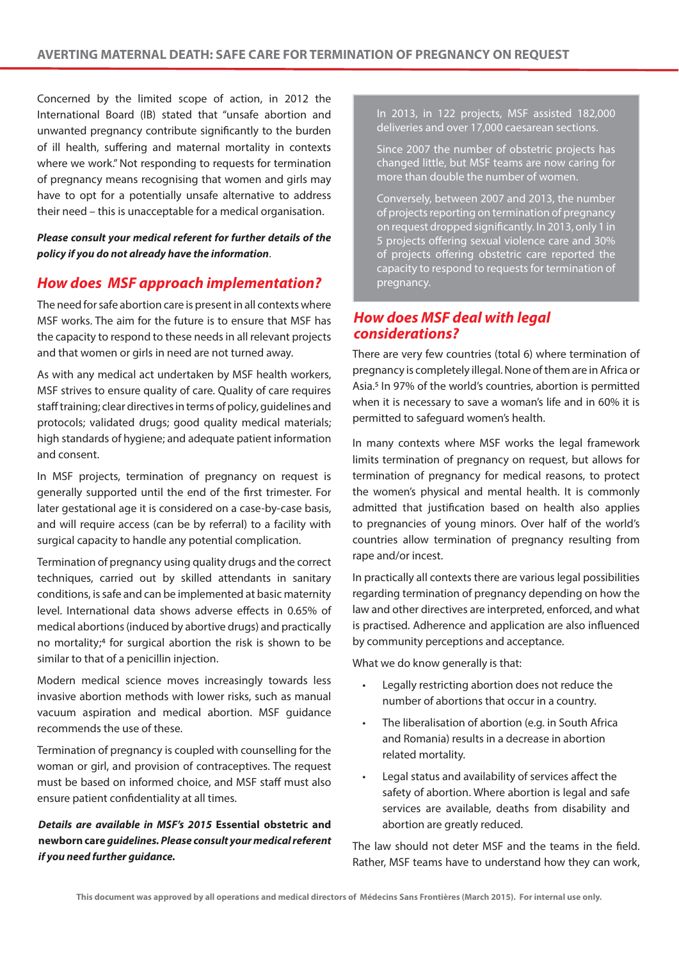Concerned by the limited scope of action, in 2012 the International Board (IB) stated that "unsafe abortion and unwanted pregnancy contribute significantly to the burden of ill health, suffering and maternal mortality in contexts where we work." Not responding to requests for termination of pregnancy means recognising that women and girls may have to opt for a potentially unsafe alternative to address their need – this is unacceptable for a medical organisation.

**Please consult your medical referent for further details of the policy if you do not already have the information**.

# **How does MSF approach implementation?**

The need for safe abortion care is present in all contexts where MSF works. The aim for the future is to ensure that MSF has the capacity to respond to these needs in all relevant projects and that women or girls in need are not turned away.

As with any medical act undertaken by MSF health workers, MSF strives to ensure quality of care. Quality of care requires staff training; clear directives in terms of policy, guidelines and protocols; validated drugs; good quality medical materials; high standards of hygiene; and adequate patient information and consent.

In MSF projects, termination of pregnancy on request is generally supported until the end of the first trimester. For later gestational age it is considered on a case-by-case basis, and will require access (can be by referral) to a facility with surgical capacity to handle any potential complication.

Termination of pregnancy using quality drugs and the correct techniques, carried out by skilled attendants in sanitary conditions, is safe and can be implemented at basic maternity level. International data shows adverse effects in 0.65% of medical abortions (induced by abortive drugs) and practically no mortality;4 for surgical abortion the risk is shown to be similar to that of a penicillin injection.

Modern medical science moves increasingly towards less invasive abortion methods with lower risks, such as manual vacuum aspiration and medical abortion. MSF guidance recommends the use of these.

Termination of pregnancy is coupled with counselling for the woman or girl, and provision of contraceptives. The request must be based on informed choice, and MSF staff must also ensure patient confidentiality at all times.

# **Details are available in MSF's 2015 Essential obstetric and newborn care guidelines. Please consult your medical referent if you need further guidance.**

In 2013, in 122 projects, MSF assisted 182,000 deliveries and over 17,000 caesarean sections.

Since 2007 the number of obstetric projects has changed little, but MSF teams are now caring for more than double the number of women.

Conversely, between 2007 and 2013, the number of projects reporting on termination of pregnancy on request dropped significantly. In 2013, only 1 in 5 projects offering sexual violence care and 30% of projects offering obstetric care reported the capacity to respond to requests for termination of pregnancy.

# **How does MSF deal with legal considerations?**

There are very few countries (total 6) where termination of pregnancy is completely illegal. None of them are in Africa or Asia.5 In 97% of the world's countries, abortion is permitted when it is necessary to save a woman's life and in 60% it is permitted to safeguard women's health.

In many contexts where MSF works the legal framework limits termination of pregnancy on request, but allows for termination of pregnancy for medical reasons, to protect the women's physical and mental health. It is commonly admitted that justification based on health also applies to pregnancies of young minors. Over half of the world's countries allow termination of pregnancy resulting from rape and/or incest.

In practically all contexts there are various legal possibilities regarding termination of pregnancy depending on how the law and other directives are interpreted, enforced, and what is practised. Adherence and application are also influenced by community perceptions and acceptance.

What we do know generally is that:

- Legally restricting abortion does not reduce the number of abortions that occur in a country.
- The liberalisation of abortion (e.g. in South Africa and Romania) results in a decrease in abortion related mortality.
- Legal status and availability of services affect the safety of abortion. Where abortion is legal and safe services are available, deaths from disability and abortion are greatly reduced.

The law should not deter MSF and the teams in the field. Rather, MSF teams have to understand how they can work,